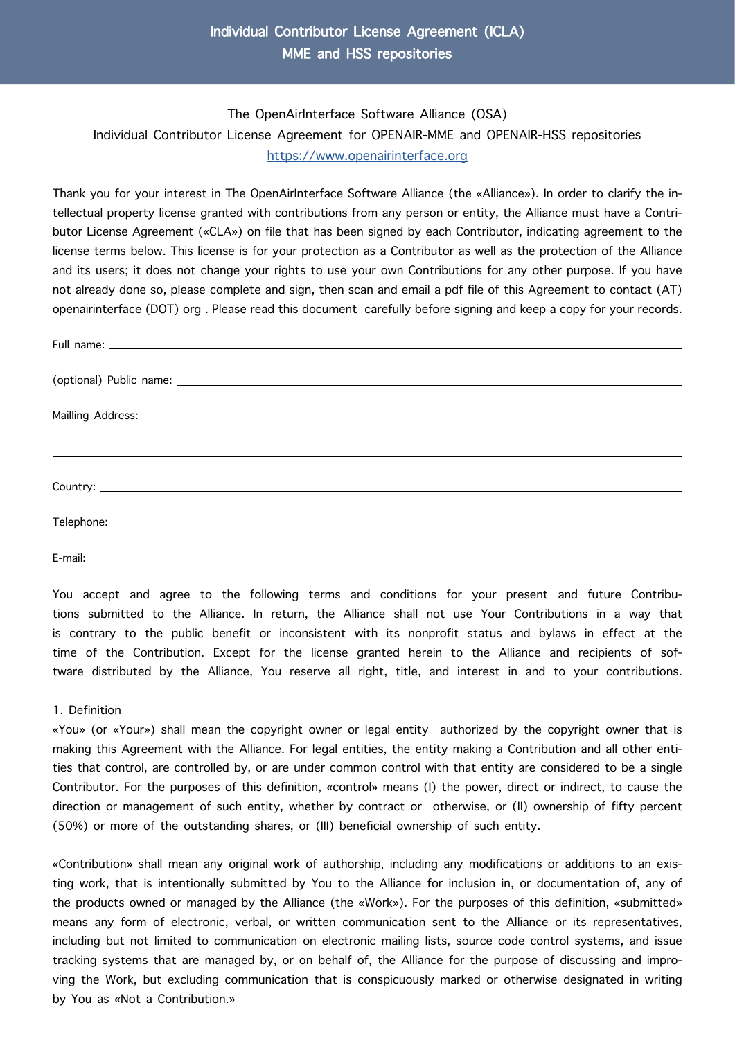## Individual Contributor License Agreement (ICLA) MME and HSS repositories

The OpenAirInterface Software Alliance (OSA) Individual Contributor License Agreement for OPENAIR-MME and OPENAIR-HSS repositories [https://www.openairinterface.org](https://openairinterface.org/)

Thank you for your interest in The OpenAirInterface Software Alliance (the «Alliance»). In order to clarify the intellectual property license granted with contributions from any person or entity, the Alliance must have a Contributor License Agreement («CLA») on file that has been signed by each Contributor, indicating agreement to the license terms below. This license is for your protection as a Contributor as well as the protection of the Alliance and its users; it does not change your rights to use your own Contributions for any other purpose. If you have not already done so, please complete and sign, then scan and email a pdf file of this Agreement to contact (AT) openairinterface (DOT) org . Please read this document carefully before signing and keep a copy for your records.

You accept and agree to the following terms and conditions for your present and future Contributions submitted to the Alliance. In return, the Alliance shall not use Your Contributions in a way that is contrary to the public benefit or inconsistent with its nonprofit status and bylaws in effect at the time of the Contribution. Except for the license granted herein to the Alliance and recipients of software distributed by the Alliance, You reserve all right, title, and interest in and to your contributions.

## 1. Definition

«You» (or «Your») shall mean the copyright owner or legal entity authorized by the copyright owner that is making this Agreement with the Alliance. For legal entities, the entity making a Contribution and all other entities that control, are controlled by, or are under common control with that entity are considered to be a single Contributor. For the purposes of this definition, «control» means (I) the power, direct or indirect, to cause the direction or management of such entity, whether by contract or otherwise, or (II) ownership of fifty percent (50%) or more of the outstanding shares, or (III) beneficial ownership of such entity.

«Contribution» shall mean any original work of authorship, including any modifications or additions to an existing work, that is intentionally submitted by You to the Alliance for inclusion in, or documentation of, any of the products owned or managed by the Alliance (the «Work»). For the purposes of this definition, «submitted» means any form of electronic, verbal, or written communication sent to the Alliance or its representatives, including but not limited to communication on electronic mailing lists, source code control systems, and issue tracking systems that are managed by, or on behalf of, the Alliance for the purpose of discussing and improving the Work, but excluding communication that is conspicuously marked or otherwise designated in writing by You as «Not a Contribution.»